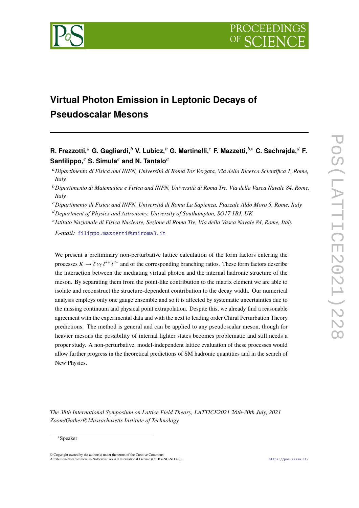# **Virtual Photon Emission in Leptonic Decays of Pseudoscalar Mesons**

**R. Frezzotti,***<sup>a</sup>* **G. Gagliardi,***<sup>b</sup>* **V. Lubicz,***<sup>b</sup>* **G. Martinelli,***<sup>c</sup>* **F. Mazzetti,***b*,<sup>∗</sup> **C. Sachrajda,***<sup>d</sup>* **F. Sanfilippo,***<sup>e</sup>* **S. Simula***<sup>e</sup>* **and N. Tantalo***<sup>a</sup>*

<sup>a</sup>*Dipartimento di Fisica and INFN, Università di Roma Tor Vergata, Via della Ricerca Scientifica 1, Rome, Italy*

<sup>b</sup>*Dipartimento di Matematica e Fisica and INFN, Università di Roma Tre, Via della Vasca Navale 84, Rome, Italy*

<sup>c</sup>*Dipartimento di Fisica and INFN, Università di Roma La Sapienza, Piazzale Aldo Moro 5, Rome, Italy*

<sup>d</sup>*Department of Physics and Astronomy, University of Southampton, SO17 1BJ, UK*

e *Istituto Nazionale di Fisica Nucleare, Sezione di Roma Tre, Via della Vasca Navale 84, Rome, Italy*

*E-mail:* [filippo.mazzetti@uniroma3.it](mailto:filippo.mazzetti@uniroma3.it)

We present a preliminary non-perturbative lattice calculation of the form factors entering the processes  $K \to \ell \nu_{\ell} \ell^{\prime+} \ell^{\prime-}$  and of the corresponding branching ratios. These form factors describe the interaction between the mediating virtual photon and the internal hadronic structure of the meson. By separating them from the point-like contribution to the matrix element we are able to isolate and reconstruct the structure-dependent contribution to the decay width. Our numerical analysis employs only one gauge ensemble and so it is affected by systematic uncertainties due to the missing continuum and physical point extrapolation. Despite this, we already find a reasonable agreement with the experimental data and with the next to leading order Chiral Perturbation Theory predictions. The method is general and can be applied to any pseudoscalar meson, though for heavier mesons the possibility of internal lighter states becomes problematic and still needs a proper study. A non-perturbative, model-independent lattice evaluation of these processes would allow further progress in the theoretical predictions of SM hadronic quantities and in the search of New Physics.

*The 38th International Symposium on Lattice Field Theory, LATTICE2021 26th-30th July, 2021 Zoom/Gather@Massachusetts Institute of Technology*

#### <sup>∗</sup>Speaker

© Copyright owned by the author(s) under the terms of the Creative Commons Attribution-NonCommercial-NoDerivatives 4.0 International License (CC BY-NC-ND 4.0). <https://pos.sissa.it/>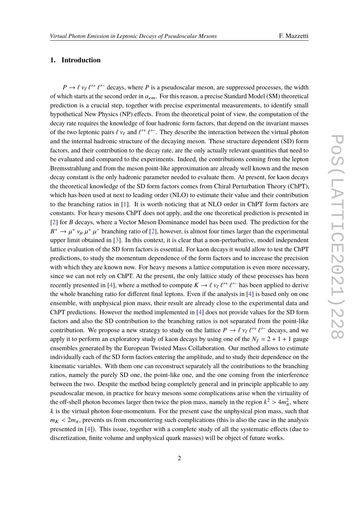# **1. Introduction**

 $P \to \ell \nu_{\ell} \ell^{\prime +} \ell^{\prime -}$  decays, where *P* is a pseudoscalar meson, are suppressed processes, the width of which starts at the second order in  $\alpha_{em}$ . For this reason, a precise Standard Model (SM) theoretical mediation is a gravital start to reason in the mass a gravitation is a gravitation of the start of the start of th prediction is a crucial step, together with precise experimental measurements, to identify small hypothetical New Physics (NP) effects. From the theoretical point of view, the computation of the decay rate requires the knowledge of four hadronic form factors, that depend on the invariant masses of the two leptonic pairs  $\ell' v_\ell$  and  $\ell'^+ \ell'^-$ . They describe the interaction between the virtual photon<br>and the internal hadronic structure of the descripe meson. These structure dependent (SD) form and the internal hadronic structure of the decaying meson. These structure dependent (SD) form factors, and their contribution to the decay rate, are the only actually relevant quantities that need to be evaluated and compared to the experiments. Indeed, the contributions coming from the lepton Bremsstrahlung and from the meson point-like approximation are already well known and the meson decay constant is the only hadronic parameter needed to evaluate them. At present, for kaon decays the theoretical knowledge of the SD form factors comes from Chiral Perturbation Theory (ChPT), which has been used at next to leading order (NLO) to estimate their value and their contribution to the branching ratios in [\[1\]](#page-10-0). It is worth noticing that at NLO order in ChPT form factors are constants. For heavy mesons ChPT does not apply, and the one theoretical prediction is presented in [\[2\]](#page-10-1) for *B* decays, where a Vector Meson Dominance model has been used. The prediction for the  $B^+ \to \mu^+ \nu_\mu \mu^+ \mu^-$  branching ratio of [\[2\]](#page-10-1), however, is almost four times larger than the experimental<br>unner limit obtained in [2]. In this context, it is also that a non-netwhative, model independent  $\mu_{\mu}$   $\mu_{\mu}$  are context and  $\mu_{\mu}$  and  $\mu_{\mu}$  are context, it is clear that a non-perturbative, model independent lattice evaluation of the SD form factors is essential. For kaon decays it would allow to test the ChPT predictions, to study the momentum dependence of the form factors and to increase the precision with which they are known now. For heavy mesons a lattice computation is even more necessary, since we can not rely on ChPT. At the present, the only lattice study of these processes has been recently presented in [\[4\]](#page-10-3), where a method to compute  $K \to \ell \nu_{\ell} \ell'^+ \ell'^-$  has been applied to derive<br>the whole hangling actio for different final letters. First if the engly is in [4] is been anly on ang the whole branching ratio for different final leptons. Even if the analysis in [\[4\]](#page-10-3) is based only on one ensemble, with unphysical pion mass, their result are already close to the experimental data and ChPT predictions. However the method implemented in [\[4\]](#page-10-3) does not provide values for the SD form factors and also the SD contribution to the branching ratios is not separated from the point-like contribution. We propose a new strategy to study on the lattice  $P \to \ell \nu_{\ell} \ell^{\prime +} \ell^{\prime -}$  decays, and we can be integrated with a study of leap decays by using an a of the  $N = 2+1+1$  gauge. apply it to perform an exploratory study of kaon decays by using one of the  $N_f = 2 + 1 + 1$  gauge ensembles generated by the European Twisted Mass Collaboration. Our method allows to estimate individually each of the SD form factors entering the amplitude, and to study their dependence on the kinematic variables. With them one can reconstruct separately all the contributions to the branching ratios, namely the purely SD one, the point-like one, and the one coming from the interference between the two. Despite the method being completely general and in principle applicable to any pseudoscalar meson, in practice for heavy mesons some complications arise when the virtuality of the off-shell photon becomes larger then twice the pion mass, namely in the region  $k^2 > 4m_{\pi}^2$ , where  $k$  is the virtual photon four momentum. For the grosset sess the unphysical pion mass, such that  $k$  is the virtual photon four-momentum. For the present case the unphysical pion mass, such that  $m_K < 2m_\pi$ , prevents us from encountering such complications (this is also the case in the analysis presented in [\[4\]](#page-10-3)). This issue, together with a complete study of all the systematic effects (due to discretization, finite volume and unphysical quark masses) will be object of future works.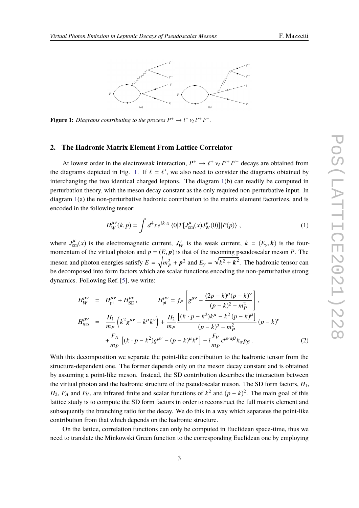<span id="page-2-0"></span>

**Figure 1:** *Diagrams contributing to the process*  $P^+ \to l^+ \nu_l l'^+ l'^-$ .

#### **2. The Hadronic Matrix Element From Lattice Correlator**

At lowest order in the electroweak interaction,  $P^+ \to \ell^+ \nu_\ell \ell^{\prime+} \ell^{\prime-}$  decays are obtained from<br>linear and depicted in Fig. 1. If  $\ell = \ell^{\prime}$ , we also need to consider the diagrams obtained by the diagrams depicted in Fig. [1.](#page-2-0) If  $\ell = \ell'$ , we also need to consider the diagrams obtained by<br>interspecies the two identical shared larters. The diagram 1(b) can readily be computed in interchanging the two identical charged leptons. The diagram [1\(](#page-2-0)b) can readily be computed in perturbation theory, with the meson decay constant as the only required non-perturbative input. In diagram [1\(](#page-2-0)a) the non-perturbative hadronic contribution to the matrix element factorizes, and is encoded in the following tensor:

<span id="page-2-1"></span>
$$
H_{W}^{\mu\nu}(k,p) = \int d^{4}x e^{ik \cdot x} \langle 0|T[J_{\text{em}}^{\mu}(x)J_{W}^{\nu}(0)]|P(p)\rangle , \qquad (1)
$$

where  $J_{em}^{\mu}(x)$  is the electromagnetic current,  $J_{W}^{\nu}$  is the weak current,  $k = (E_{\gamma}, \mathbf{k})$  is the four-<br>momentum of the virtual photon and  $n = (E, n)$  is that of the incoming nearlocal annean *B*. The momentum of the virtual photon and  $p = (E, p)$  is that of the incoming pseudoscalar meson *P*. The meson and photon energies satisfy  $E = \sqrt{m_P^2 + p^2}$  and  $E_\gamma = \sqrt{k^2 + k^2}$ . The hadronic tensor can be decomposed into form factors which are scalar functions encoding the non-perturbative strong dynamics. Following Ref. [\[5\]](#page-10-4), we write:

$$
H_W^{\mu\nu} = H_{\text{pt}}^{\mu\nu} + H_{\text{SD}}^{\mu\nu}, \qquad H_{\text{pt}}^{\mu\nu} = f_P \left[ g^{\mu\nu} - \frac{(2p - k)^{\mu} (p - k)^{\nu}}{(p - k)^2 - m_P^2} \right],
$$
  
\n
$$
H_{\text{SD}}^{\mu\nu} = \frac{H_1}{m_P} \left( k^2 g^{\mu\nu} - k^{\mu} k^{\nu} \right) + \frac{H_2}{m_P} \frac{\left[ (k \cdot p - k^2) k^{\mu} - k^2 (p - k)^{\mu} \right]}{(p - k)^2 - m_P^2} (p - k)^{\nu}
$$
  
\n
$$
+ \frac{F_A}{m_P} \left[ (k \cdot p - k^2) g^{\mu\nu} - (p - k)^{\mu} k^{\nu} \right] - i \frac{F_V}{m_P} \epsilon^{\mu\nu\alpha\beta} k_{\alpha} p_{\beta}.
$$
 (2)

With this decomposition we separate the point-like contribution to the hadronic tensor from the structure-dependent one. The former depends only on the meson decay constant and is obtained by assuming a point-like meson. Instead, the SD contribution describes the interaction between the virtual photon and the hadronic structure of the pseudoscalar meson. The SD form factors,  $H_1$ , *H*<sub>2</sub>, *F*<sub>A</sub> and *F*<sub>V</sub>, are infrared finite and scalar functions of  $k^2$  and  $(p - k)^2$ . The main goal of this lattice study is to compute the SD form factors in order to reconstruct the full matrix element and subsequently the branching ratio for the decay. We do this in a way which separates the point-like contribution from that which depends on the hadronic structure.

On the lattice, correlation functions can only be computed in Euclidean space-time, thus we need to translate the Minkowski Green function to the corresponding Euclidean one by employing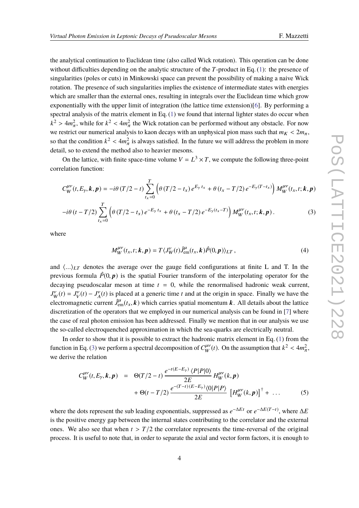the analytical continuation to Euclidean time (also called Wick rotation). This operation can be done without difficulties depending on the analytic structure of the *T*-product in Eq. [\(1\)](#page-2-1): the presence of singularities (poles or cuts) in Minkowski space can prevent the possibility of making a naive Wick rotation. The presence of such singularities implies the existence of intermediate states with energies which are smaller than the external ones, resulting in integrals over the Euclidean time which grow exponentially with the upper limit of integration (the lattice time extension)[\[6\]](#page-10-5). By performing a spectral analysis of the matrix element in Eq. [\(1\)](#page-2-1) we found that internal lighter states do occur when  $k^2 > 4m_{\pi}^2$ , while for  $k^2 < 4m_{\pi}^2$  the Wick rotation can be performed without any obstacle. For now we restrict our numerical analysis to kaon decays with an unphysical pion mass such that  $m_K < 2m_\pi$ , so that the condition  $k^2 < 4m_{\pi}^2$  is always satisfied. In the future we will address the problem in more detail so to extend the mathed also to beguing massens. detail, so to extend the method also to heavier mesons.

On the lattice, with finite space-time volume  $V = L^3 \times T$ , we compute the following three-point correlation function:

<span id="page-3-0"></span>
$$
C_{W}^{\mu\nu}(t, E_{\gamma}, \mathbf{k}, \mathbf{p}) = -i\theta (T/2 - t) \sum_{t_x=0}^{T} \left( \theta (T/2 - t_x) e^{E_{\gamma} t_x} + \theta (t_x - T/2) e^{-E_{\gamma} (T - t_x)} \right) M_{W}^{\mu\nu}(t_x, t; \mathbf{k}, \mathbf{p})
$$

$$
-i\theta(t-T/2)\sum_{t_x=0}^T \left(\theta(T/2-t_x)e^{-E_y t_x} + \theta(t_x-T/2)e^{-E_y(t_x-T)}\right)M_W^{\mu\nu}(t_x,t;\mathbf{k},\mathbf{p}).
$$
 (3)

where

$$
M_W^{\mu\nu}(t_x, t; \mathbf{k}, \mathbf{p}) = T \langle J_W^{\nu}(t) \hat{J}_{em}^{\mu}(t_x, \mathbf{k}) \hat{P}(0, \mathbf{p}) \rangle_{LT}, \qquad (4)
$$

and  $\langle ... \rangle_{LT}$  denotes the average over the gauge field configurations at finite L and T. In the previous formula  $\hat{P}(0, p)$  is the spatial Fourier transform of the interpolating operator for the decaying pseudoscalar meson at time  $t = 0$ , while the renormalised hadronic weak current,  $J_W^{\nu}(t) = J_V^{\nu}(t) - J_A^{\nu}(t)$  is placed at a generic time *t* and at the origin in space. Finally we have the electromagnetic current  $\hat{J}_{em}^{\mu}(t_x, k)$  which carries spatial momentum k. All details about the lattice discretization of the energton that we employed in our numerical englisis can be found in [7] where discretization of the operators that we employed in our numerical analysis can be found in [\[7\]](#page-10-6) where the case of real photon emission has been addressed. Finally we mention that in our analysis we use the so-called electroquenched approximation in which the sea-quarks are electrically neutral.

In order to show that it is possible to extract the hadronic matrix element in Eq.  $(1)$  from the function in Eq. [\(3\)](#page-3-0) we perform a spectral decomposition of  $C_W^{\mu\nu}(t)$ . On the assumption that  $k^2 < 4m_\pi^2$ , we derive the relation

$$
C_{W}^{\mu\nu}(t, E_{\gamma}, k, p) = \Theta(T/2 - t) \frac{e^{-t(E - E_{\gamma})} \langle P|P|0\rangle}{2E} H_{W}^{\mu\nu}(k, p) + \Theta(t - T/2) \frac{e^{-(T - t)(E - E_{\gamma})} \langle 0|P|P\rangle}{2E} [H_{W}^{\mu\nu}(k, p)]^{\dagger} + ...
$$
(5)

where the dots represent the sub leading exponentials, suppressed as  $e^{-\Delta E t}$  or  $e^{-\Delta E(T-t)}$ , where  $\Delta E$ is the positive energy gap between the internal states contributing to the correlator and the external ones. We also see that when  $t > T/2$  the correlator represents the time-reversal of the original process. It is useful to note that, in order to separate the axial and vector form factors, it is enough to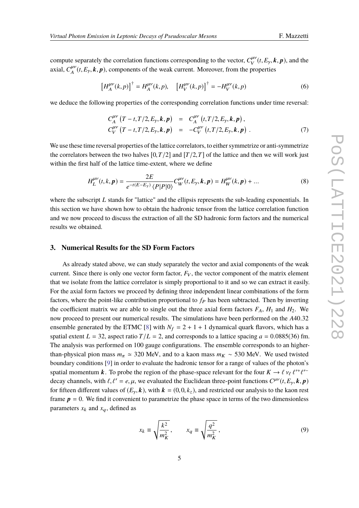compute separately the correlation functions corresponding to the vector,  $C_V^{\mu\nu}(t, E_y, \mathbf{k}, \mathbf{p})$ , and the vector  $C_V^{\mu\nu}(t, E_y, \mathbf{k}, \mathbf{p})$ , and the axial,  $C_A^{\mu\nu}(t, E_\gamma, \mathbf{k}, \mathbf{p})$ , components of the weak current. Moreover, from the properties

$$
\left[H_{A}^{\mu\nu}(k,p)\right]^{\dagger} = H_{A}^{\mu\nu}(k,p), \quad \left[H_{V}^{\mu\nu}(k,p)\right]^{\dagger} = -H_{V}^{\mu\nu}(k,p) \tag{6}
$$

we deduce the following properties of the corresponding correlation functions under time reversal:

$$
C_A^{\mu\nu} (T - t, T/2, E_\gamma, k, p) = C_A^{\mu\nu} (t, T/2, E_\gamma, k, p),
$$
  
\n
$$
C_V^{\mu\nu} (T - t, T/2, E_\gamma, k, p) = -C_V^{\mu\nu} (t, T/2, E_\gamma, k, p).
$$
\n(7)

We use these time reversal properties of the lattice correlators, to either symmetrize or anti-symmetrize the correlators between the two halves  $[0, T/2]$  and  $[T/2, T]$  of the lattice and then we will work just within the first half of the lattice time-extent, where we define

$$
H_L^{\mu\nu}(t,k,p) = \frac{2E}{e^{-t(E-E_\gamma)}\langle P|P|0\rangle} C_W^{\mu\nu}(t,E_\gamma,k,p) = H_W^{\mu\nu}(k,p) + \dots
$$
\n(8)

where the subscript *L* stands for "lattice" and the ellipsis represents the sub-leading exponentials. In this section we have shown how to obtain the hadronic tensor from the lattice correlation function and we now proceed to discuss the extraction of all the SD hadronic form factors and the numerical results we obtained.

#### **3. Numerical Results for the SD Form Factors**

As already stated above, we can study separately the vector and axial components of the weak current. Since there is only one vector form factor,  $F_V$ , the vector component of the matrix element that we isolate from the lattice correlator is simply proportional to it and so we can extract it easily. For the axial form factors we proceed by defining three independent linear combinations of the form factors, where the point-like contribution proportional to  $f<sub>P</sub>$  has been subtracted. Then by inverting the coefficient matrix we are able to single out the three axial form factors  $F_A$ ,  $H_1$  and  $H_2$ . We now proceed to present our numerical results. The simulations have been performed on the *<sup>A</sup>*40.<sup>32</sup> ensemble generated by the ETMC [\[8\]](#page-10-7) with  $N_f = 2 + 1 + 1$  dynamical quark flavors, which has a spatial extent  $L = 32$ , aspect ratio  $T/L = 2$ , and corresponds to a lattice spacing  $a = 0.0885(36)$  fm. The analysis was performed on 100 gauge configurations. The ensemble corresponds to an higherthan-physical pion mass  $m_\pi \approx 320$  MeV, and to a kaon mass  $m_K \sim 530$  MeV. We used twisted boundary conditions [\[9\]](#page-10-8) in order to evaluate the hadronic tensor for a range of values of the photon's spatial momentum k. To probe the region of the phase-space relevant for the four  $K \to \ell \nu_{\ell} \ell^{\prime +} \ell^{\prime -}$ <br>decay shappels, with  $\ell \ell^{\prime} = \ell \nu$  we evaluated the Evalidear three point functions  $C^{W}(\ell, E, \mathbf{I}, \mathbf{r})$ decay channels, with  $\ell$ ,  $\ell' = e$ ,  $\mu$ , we evaluated the Euclidean three-point functions  $C^{\mu\nu}(t, E_{\gamma}, k, p)$ <br>for fitters different values of  $(F, k)$  with  $L_{\gamma}$  (0.0 k) and restricted sure enclusions the laser next for fifteen different values of  $(E_y, k)$ , with  $k = (0, 0, k_z)$ , and restricted our analysis to the kaon rest frame  $p = 0$ . We find it convenient to parametrize the phase space in terms of the two dimensionless parameters  $x_k$  and  $x_q$ , defined as

$$
x_k \equiv \sqrt{\frac{k^2}{m_K^2}}, \qquad x_q \equiv \sqrt{\frac{q^2}{m_K^2}}, \tag{9}
$$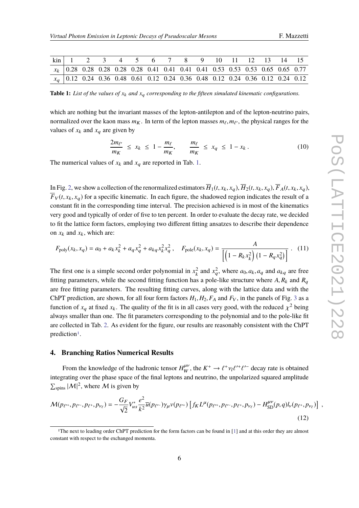<span id="page-5-2"></span>

| F. Mazzetti |  |
|-------------|--|
|-------------|--|

<span id="page-5-0"></span>

| $\begin{array}{ccccccccccccc}\n\text{kin} & 1 & 2 & 3 & 4 & 5 & 6 & 7 & 8 & 9 & 10 & 11 & 12 & 13 & 14 & 15\n\end{array}$ |  |  |  |  |  |  |                                                                                    |
|---------------------------------------------------------------------------------------------------------------------------|--|--|--|--|--|--|------------------------------------------------------------------------------------|
|                                                                                                                           |  |  |  |  |  |  | $x_k$   0.28 0.28 0.28 0.28 0.28 0.41 0.41 0.41 0.41 0.53 0.53 0.53 0.65 0.65 0.77 |
|                                                                                                                           |  |  |  |  |  |  | $x_q$   0.12 0.24 0.36 0.48 0.61 0.12 0.24 0.36 0.48 0.12 0.24 0.36 0.12 0.24 0.12 |

**Table 1:** *List of the values of x*<sup>k</sup> *and x*<sup>q</sup> *corresponding to the fifteen simulated kinematic configurations.*

which are nothing but the invariant masses of the lepton-antilepton and of the lepton-neutrino pairs, normalized over the kaon mass  $m_K$ . In term of the lepton masses  $m_\ell, m_{\ell'}$ , the physical ranges for the values of  $n$ , and  $n$ , are given by values of  $x_k$  and  $x_q$  are given by

$$
\frac{2m_{\ell'}}{m_K} \le x_k \le 1 - \frac{m_{\ell}}{m_K}, \qquad \frac{m_{\ell}}{m_K} \le x_q \le 1 - x_k. \tag{10}
$$

The numerical values of  $x_k$  and  $x_q$  are reported in Tab. [1.](#page-5-0)

In Fig. [2,](#page-7-0) we show a collection of the renormalized estimators  $\overline{H}_1(t, x_k, x_a)$ ,  $\overline{H}_2(t, x_k, x_a)$ ,  $\overline{F}_A(t, x_k, x_a)$ ,  $\overline{F}_V(t, x_k, x_q)$  for a specific kinematic. In each figure, the shadowed region indicates the result of a constant fit in the corresponding time interval. The precision achieved is in most of the kinematics very good and typically of order of five to ten percent. In order to evaluate the decay rate, we decided to fit the lattice form factors, employing two different fitting ansatzes to describe their dependence on  $x_k$  and  $x_k$ , which are:

$$
F_{\text{poly}}(x_k, x_q) = a_0 + a_k x_k^2 + a_q x_q^2 + a_{kq} x_k^2 x_q^2, \quad F_{\text{pole}}(x_k, x_q) = \frac{A}{\left[ \left( 1 - R_k x_k^2 \right) \left( 1 - R_q x_q^2 \right) \right]} \tag{11}
$$

The first one is a simple second order polynomial in  $x_k^2$  and  $x_q^2$ , where  $a_0, a_k, a_q$  and  $a_{kq}$  are free<br>fitting nonprotone while the second fitting function has a pole like structure where A, B, and B fitting parameters, while the second fitting function has a pole-like structure where  $A$ ,  $R_k$  and  $R_q$ are free fitting parameters. The resulting fitting curves, along with the lattice data and with the ChPT prediction, are shown, for all four form factors  $H_1, H_2, F_A$  and  $F_V$ , in the panels of Fig. [3](#page-8-0) as a function of  $x_q$  at fixed  $x_k$ . The quality of the fit is in all cases very good, with the reduced  $\chi^2$  being<br>cluster expellent has an a. The fit personators corresponding to the polynomial and to the poly like fit always smaller than one. The fit parameters corresponding to the polynomial and to the pole-like fit are collected in Tab. [2.](#page-6-0) As evident for the figure, our results are reasonably consistent with the ChPT prediction<sup>[1](#page-5-1)</sup>.

#### **4. Branching Ratios Numerical Results**

From the knowledge of the hadronic tensor  $H_W^{\mu\nu}$ , the  $K^+ \to \ell^+ \nu_l \ell^{\prime +} \ell^{\prime -}$  decay rate is obtained integrating over the phase space of the final leptons and neutrino, the unpolarized squared amplitude  $\sum_{\text{spins}} |\mathcal{M}|^2$ , where  $\mathcal M$  is given by

<span id="page-5-3"></span>
$$
\mathcal{M}(p_{\ell^{r+}}, p_{\ell^{r-}}, p_{\ell^{+}}, p_{\nu_{\ell}}) = -\frac{G_F}{\sqrt{2}} V_{us}^* \frac{e^2}{k^2} \overline{u}(p_{\ell^{r-}}) \gamma_{\mu} v(p_{\ell^{r+}}) \left[ f_K L^{\mu}(p_{\ell^{r+}}, p_{\ell^{r-}}, p_{\ell^{+}}, p_{\nu_{\ell}}) - H_{SD}^{\mu \nu}(p, q) l_{\nu}(p_{\ell^{+}}, p_{\nu_{\ell}}) \right] ,
$$
\n(12)

<span id="page-5-1"></span><sup>1</sup>The next to leading order ChPT prediction for the form factors can be found in [\[1\]](#page-10-0) and at this order they are almost constant with respect to the exchanged momenta.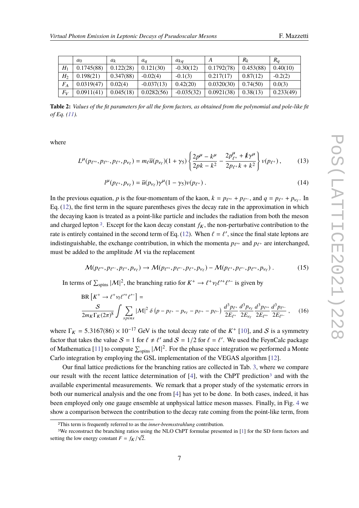<span id="page-6-0"></span>

|       | $a_0$      | $a_k$     | $a_a$        | $a_{ka}$     |            | $R_k$     | $R_q$     |
|-------|------------|-----------|--------------|--------------|------------|-----------|-----------|
| H     | 0.1745(88) | 0.122(28) | 0.121(30)    | $-0.30(12)$  | 0.1792(78) | 0.453(88) | 0.40(10)  |
| H2    | 0.198(21)  | 0.347(88) | $-0.02(4)$   | $-0.1(3)$    | 0.217(17)  | 0.87(12)  | $-0.2(2)$ |
| $F_A$ | 0.0319(47) | 0.02(4)   | $-0.037(13)$ | 0.42(20)     | 0.0320(30) | 0.74(50)  | 0.0(3)    |
| $F_V$ | 0.0911(41) | 0.045(18) | 0.0282(56)   | $-0.035(32)$ | 0.0921(38) | 0.38(13)  | 0.233(49) |

**Table 2:** *Values of the fit parameters for all the form factors, as obtained from the polynomial and pole-like fit of Eq. [\(11\)](#page-5-2).*

where

$$
L^{\mu}(p_{\ell^{++}}, p_{\ell^{-}}, p_{\ell^{+}}, p_{\nu_{\ell}}) = m_{\ell} \overline{u}(p_{\nu_{\ell}})(1+\gamma_5) \left\{ \frac{2p^{\mu} - k^{\mu}}{2pk - k^2} - \frac{2p^{\mu}_{\ell^{+}} + k\gamma^{\mu}}{2p_{\ell^{+}}k + k^2} \right\} v(p_{\ell^{+}}),
$$
 (13)

$$
l^{\mu}(p_{\ell^+}, p_{\nu_{\ell}}) = \overline{u}(p_{\nu_{\ell}})\gamma^{\mu}(1-\gamma_5)\nu(p_{\ell^+})\,. \tag{14}
$$

In the previous equation, *p* is the four-momentum of the kaon,  $k = p_{\ell^{\prime+}} + p_{\ell^{\prime-}}$ , and  $q = p_{\ell^+} + p_{\nu_\ell}$ . In Eq. [\(12\)](#page-5-3), the first term in the square parentheses gives the decay rate in the approximation in which the decaying kaon is treated as a point-like particle and includes the radiation from both the meson and charged lepton <sup>[2](#page-6-1)</sup>. Except for the kaon decay constant  $f_K$ , the non-perturbative contribution to the rate is entirely contained in the second term of Eq. [\(12\)](#page-5-3). When  $\ell = \ell'$ , since the final state leptons are interestinguished to exchange contribution in which the momenta nearly and negative interspected indistinguishable, the exchange contribution, in which the momenta  $p_{\ell^+}$  and  $p_{\ell^+}$  are interchanged, must be added to the amplitude  $M$  via the replacement

$$
\mathcal{M}(p_{\ell^{r+}}, p_{\ell^{r-}}, p_{\ell^{+}}, p_{\nu_{\ell}}) \to \mathcal{M}(p_{\ell^{r+}}, p_{\ell^{r-}}, p_{\ell^{+}}, p_{\nu_{\ell}}) - \mathcal{M}(p_{\ell^{+}}, p_{\ell^{r-}}, p_{\ell^{r+}}, p_{\nu_{\ell}}) \,.
$$
 (15)

In terms of  $\sum_{\text{spins}} |\mathcal{M}|^2$ , the branching ratio for  $K^+ \to \ell^+ \nu_l \ell^{\prime+}$  $\prime$ <sup>-</sup> is given by

$$
BR\left[K^{+} \to \ell^{+} \nu_{\ell} \ell^{\prime +} \ell^{\prime -}\right] =
$$
\n
$$
\frac{S}{2m_{K} \Gamma_{K}(2\pi)^{8}} \int \sum_{spins} |\mathcal{M}|^{2} \delta\left(p - p_{\ell^{+}} - p_{\nu_{\ell}} - p_{\ell^{\prime +}} - p_{\ell^{\prime -}}\right) \frac{d^{3} p_{\ell^{+}}}{2E_{\ell^{+}}} \frac{d^{3} p_{\nu_{\ell}}}{2E_{\ell^{\prime +}}} \frac{d^{3} p_{\ell^{\prime -}}}{2E_{\ell^{\prime -}}}, \quad (16)
$$

where  $\Gamma_K = 5.3167(86) \times 10^{-17}$  GeV is the total decay rate of the  $K^+$  [\[10\]](#page-10-9), and S is a symmetry factor that takes the value  $S = 1$  for  $\ell \neq \ell'$  and  $S = 1/2$  for  $\ell = \ell'$ . We used the FeynCalc package of Mathematica [\[11\]](#page-10-10) to compute  $\sum_{\text{spins}} |\mathcal{M}|^2$ . For the phase space integration we performed a Monte Carlo integration by employing the GSL implementation of the VEGAS algorithm [\[12\]](#page-10-11).

Our final lattice predictions for the branching ratios are collected in Tab. [3,](#page-8-1) where we compare our result with the recent lattice determination of  $[4]$ , with the ChPT prediction<sup>[3](#page-6-2)</sup> and with the available experimental measurements. We remark that a proper study of the systematic errors in both our numerical analysis and the one from [\[4\]](#page-10-3) has yet to be done. In both cases, indeed, it has been employed only one gauge ensemble at unphysical lattice meson masses. Finally, in Fig. [4](#page-9-0) we show a comparison between the contribution to the decay rate coming from the point-like term, from

<span id="page-6-2"></span><span id="page-6-1"></span><sup>2</sup>This term is frequently referred to as the *inner-bremsstrahlung* contribution.

<sup>&</sup>lt;sup>3</sup>We reconstruct the branching ratios using the NLO ChPT formulae presented in [\[1\]](#page-10-0) for the SD form factors and setting the low energy constant  $F = f_K / \sqrt{2}$ .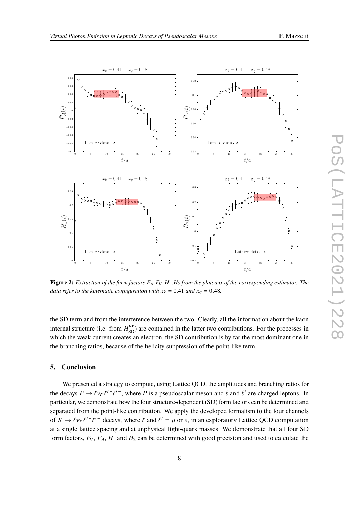<span id="page-7-0"></span>

**Figure 2:** *Extraction of the form factors <sup>F</sup>*A, *<sup>F</sup>*V, *<sup>H</sup>*1, *<sup>H</sup>*<sup>2</sup> *from the plateaux of the corresponding estimator. The data refer to the kinematic configuration with*  $x_k = 0.41$  *and*  $x_q = 0.48$ *.* 

the SD term and from the interference between the two. Clearly, all the information about the kaon internal structure (i.e. from  $H_{SD}^{\mu\nu}$ ) are contained in the latter two contributions. For the processes in which the weak current creates an electron, the SD contribution is by far the most dominant one in the branching ratios, because of the helicity suppression of the point-like term.

### **5. Conclusion**

We presented a strategy to compute, using Lattice QCD, the amplitudes and branching ratios for the decays  $P \to \ell v_{\ell} \ell^{\prime +} \ell^{\prime -}$ , where *P* is a pseudoscalar meson and  $\ell$  and  $\ell^{\prime}$  are charged leptons. In particular, we demonstrate how the four structure dependent (SD) form fectors can be determined and particular, we demonstrate how the four structure-dependent (SD) form factors can be determined and separated from the point-like contribution. We apply the developed formalism to the four channels of  $K \to \ell v_{\ell} \ell^{\prime +} \ell^{\prime -}$  decays, where  $\ell$  and  $\ell^{\prime} = \mu$  or  $e$ , in an exploratory Lattice QCD computation at a single lattice spacing and at unphysical light-quark masses. We demonstrate that all four SD form factors,  $F_V$ ,  $F_A$ ,  $H_1$  and  $H_2$  can be determined with good precision and used to calculate the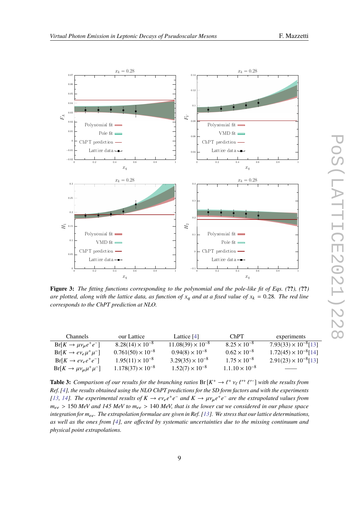

<span id="page-8-0"></span>

**Figure 3:** *The fitting functions corresponding to the polynomial and the pole-like fit of Eqs. (***??***), (***??***) are plotted, along with the lattice data, as function of*  $x_q$  *and at a fixed value of*  $x_k = 0.28$ *. The red line corresponds to the ChPT prediction at NLO.*

<span id="page-8-1"></span>

| Channels                                | our Lattice                | Lattice $[4]$              | ChPT.                   | experiments                    |
|-----------------------------------------|----------------------------|----------------------------|-------------------------|--------------------------------|
| $Br[K \to \mu \nu_{\mu} e^+ e^-]$       | $8.28(14) \times 10^{-8}$  | $11.08(39) \times 10^{-8}$ | $8.25 \times 10^{-8}$   | $7.93(33) \times 10^{-8}$ [13] |
| $Br[K \rightarrow e \nu_e \mu^+ \mu^-]$ | $0.761(50) \times 10^{-8}$ | $0.94(8) \times 10^{-8}$   | $0.62 \times 10^{-8}$   | $1.72(45) \times 10^{-8}$ [14] |
| $Br[K \rightarrow e \nu_e e^+ e^-]$     | $1.95(11) \times 10^{-8}$  | $3.29(35) \times 10^{-8}$  | $1.75 \times 10^{-8}$   | $2.91(23) \times 10^{-8}$ [13] |
| $Br[K \to \mu \nu_\mu \mu^+ \mu^-]$     | $1.178(37) \times 10^{-8}$ | $1.52(7) \times 10^{-8}$   | $1.1.10 \times 10^{-8}$ |                                |
|                                         |                            |                            |                         |                                |

**Table 3:** *Comparison of our results for the branching ratios*  $Br[K^+ \to \ell^+ \nu_{\ell} \ell'^+ \ell'^-]$  *with the results from*<br>Bef. (4), the results obtained wing the NLO ChBT predictions for the SD form factors and with the experim *Ref.* [\[4\]](#page-10-3)*, the results obtained using the NLO ChPT predictions for the SD form factors and with the experiments f l 3, l 4]. The experimental results of*  $K \to e v_e e^+ e^-$  *and*  $K \to \mu v_\mu e^+ e^-$  *are the extrapolated values from*  $m \to 150$  *MeV and 145 MeV to m*  $\to 140$  *MeV that is the lower autum agraidand in our phase apa <sup>m</sup>*ee <sup>&</sup>gt; <sup>150</sup> *MeV and 145 MeV to <sup>m</sup>*ee <sup>&</sup>gt; <sup>140</sup> *MeV, that is the lower cut we considered in our phase space integration for*  $m_{ee}$ *. The extrapolation formulae are given in Ref. [\[13\]](#page-10-12). We stress that our lattice determinations, as well as the ones from [\[4\]](#page-10-3), are affected by systematic uncertainties due to the missing continuum and physical point extrapolations.*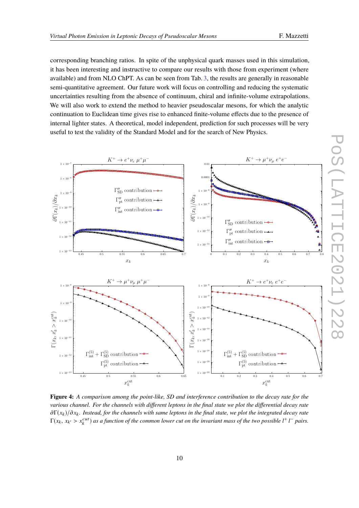corresponding branching ratios. In spite of the unphysical quark masses used in this simulation, it has been interesting and instructive to compare our results with those from experiment (where available) and from NLO ChPT. As can be seen from Tab. [3,](#page-8-1) the results are generally in reasonable semi-quantitative agreement. Our future work will focus on controlling and reducing the systematic uncertainties resulting from the absence of continuum, chiral and infinite-volume extrapolations. We will also work to extend the method to heavier pseudoscalar mesons, for which the analytic continuation to Euclidean time gives rise to enhanced finite-volume effects due to the presence of internal lighter states. A theoretical, model independent, prediction for such processes will be very useful to test the validity of the Standard Model and for the search of New Physics.

<span id="page-9-0"></span>

**Figure 4:** *A comparison among the point-like, SD and interference contribution to the decay rate for the various channel. For the channels with different leptons in the final state we plot the differential decay rate* <sup>∂</sup>Γ(*x*<sup>k</sup> )/∂*x*<sup>k</sup> *. Instead, for the channels with same leptons in the final state, we plot the integrated decay rate*  $\Gamma(x_k, x_{k'} > x_k^{cut})$  as a function of the common lower cut on the invariant mass of the two possible  $l^+ l^-$  pairs.